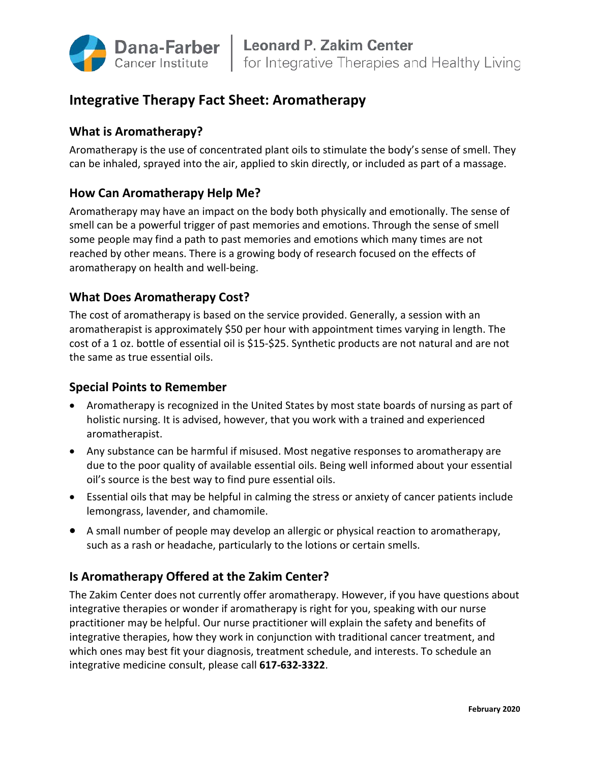

# **Integrative Therapy Fact Sheet: Aromatherapy**

## **What is Aromatherapy?**

Aromatherapy is the use of concentrated plant oils to stimulate the body's sense of smell. They can be inhaled, sprayed into the air, applied to skin directly, or included as part of a massage.

## **How Can Aromatherapy Help Me?**

Aromatherapy may have an impact on the body both physically and emotionally. The sense of smell can be a powerful trigger of past memories and emotions. Through the sense of smell some people may find a path to past memories and emotions which many times are not reached by other means. There is a growing body of research focused on the effects of aromatherapy on health and well-being.

## **What Does Aromatherapy Cost?**

The cost of aromatherapy is based on the service provided. Generally, a session with an aromatherapist is approximately \$50 per hour with appointment times varying in length. The cost of a 1 oz. bottle of essential oil is \$15-\$25. Synthetic products are not natural and are not the same as true essential oils.

#### **Special Points to Remember**

- Aromatherapy is recognized in the United States by most state boards of nursing as part of holistic nursing. It is advised, however, that you work with a trained and experienced aromatherapist.
- Any substance can be harmful if misused. Most negative responses to aromatherapy are due to the poor quality of available essential oils. Being well informed about your essential oil's source is the best way to find pure essential oils.
- Essential oils that may be helpful in calming the stress or anxiety of cancer patients include lemongrass, lavender, and chamomile.
- A small number of people may develop an allergic or physical reaction to aromatherapy, such as a rash or headache, particularly to the lotions or certain smells.

## **Is Aromatherapy Offered at the Zakim Center?**

The Zakim Center does not currently offer aromatherapy. However, if you have questions about integrative therapies or wonder if aromatherapy is right for you, speaking with our nurse practitioner may be helpful. Our nurse practitioner will explain the safety and benefits of integrative therapies, how they work in conjunction with traditional cancer treatment, and which ones may best fit your diagnosis, treatment schedule, and interests. To schedule an integrative medicine consult, please call **617-632-3322**.